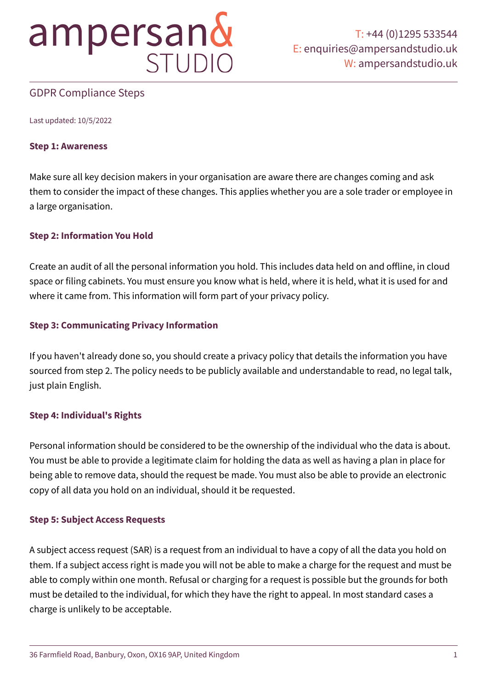## GDPR Compliance Steps

Last updated: 10/5/2022

#### **Step 1: Awareness**

Make sure all key decision makers in your organisation are aware there are changes coming and ask them to consider the impact of these changes. This applies whether you are a sole trader or employee in a large organisation.

## **Step 2: Information You Hold**

Create an audit of all the personal information you hold. This includes data held on and offline, in cloud space or filing cabinets. You must ensure you know what is held, where it is held, what it is used for and where it came from. This information will form part of your privacy policy.

## **Step 3: Communicating Privacy Information**

If you haven't already done so, you should create a privacy policy that details the information you have sourced from step 2. The policy needs to be publicly available and understandable to read, no legal talk, just plain English.

## **Step 4: Individual's Rights**

Personal information should be considered to be the ownership of the individual who the data is about. You must be able to provide a legitimate claim for holding the data as well as having a plan in place for being able to remove data, should the request be made. You must also be able to provide an electronic copy of all data you hold on an individual, should it be requested.

## **Step 5: Subject Access Requests**

A subject access request (SAR) is a request from an individual to have a copy of all the data you hold on them. If a subject access right is made you will not be able to make a charge for the request and must be able to comply within one month. Refusal or charging for a request is possible but the grounds for both must be detailed to the individual, for which they have the right to appeal. In most standard cases a charge is unlikely to be acceptable.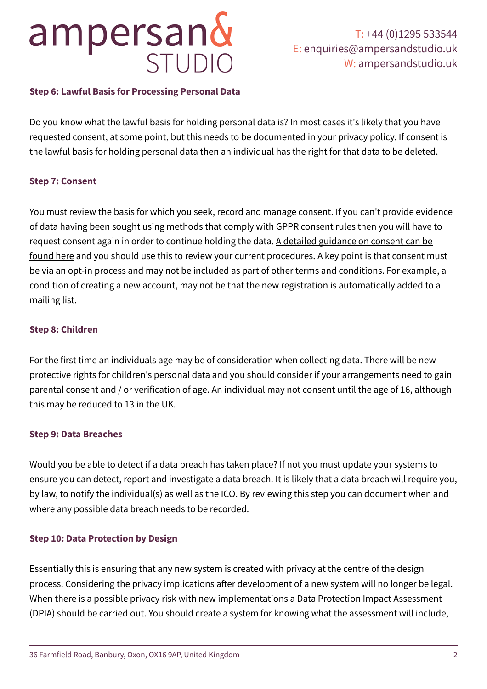## **Step 6: Lawful Basis for Processing Personal Data**

Do you know what the lawful basis for holding personal data is? In most cases it's likely that you have requested consent, at some point, but this needs to be documented in your privacy policy. If consent is the lawful basis for holding personal data then an individual has the right for that data to be deleted.

## **Step 7: Consent**

You must review the basis for which you seek, record and manage consent. If you can't provide evidence of data having been sought using methods that comply with GPPR consent rules then you will have to request consent again in order to continue holding the data. [A detailed guidance on consent can be](https://ico.org.uk/media/about-the-ico/consultations/2013551/draft-gdpr-consent-guidance-for-consultation-201703.pdf)  [found here](https://ico.org.uk/media/about-the-ico/consultations/2013551/draft-gdpr-consent-guidance-for-consultation-201703.pdf) and you should use this to review your current procedures. A key point is that consent must be via an opt-in process and may not be included as part of other terms and conditions. For example, a condition of creating a new account, may not be that the new registration is automatically added to a mailing list.

## **Step 8: Children**

For the first time an individuals age may be of consideration when collecting data. There will be new protective rights for children's personal data and you should consider if your arrangements need to gain parental consent and / or verification of age. An individual may not consent until the age of 16, although this may be reduced to 13 in the UK.

## **Step 9: Data Breaches**

Would you be able to detect if a data breach has taken place? If not you must update your systems to ensure you can detect, report and investigate a data breach. It is likely that a data breach will require you, by law, to notify the individual(s) as well as the ICO. By reviewing this step you can document when and where any possible data breach needs to be recorded.

## **Step 10: Data Protection by Design**

Essentially this is ensuring that any new system is created with privacy at the centre of the design process. Considering the privacy implications after development of a new system will no longer be legal. When there is a possible privacy risk with new implementations a Data Protection Impact Assessment (DPIA) should be carried out. You should create a system for knowing what the assessment will include,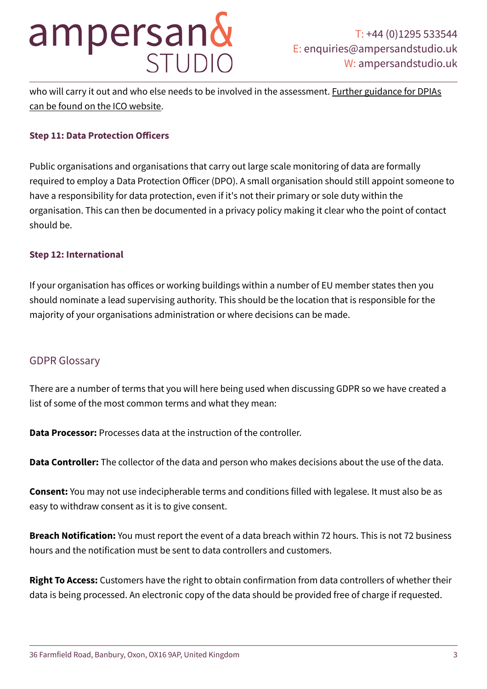who will carry it out and who else needs to be involved in the assessment. Further guidance for DPIAs [can be found on the ICO website.](https://ico.org.uk/media/for-organisations/documents/1595/pia-code-of-practice.pdf)

#### **Step 11: Data Protection Officers**

Public organisations and organisations that carry out large scale monitoring of data are formally required to employ a Data Protection Officer (DPO). A small organisation should still appoint someone to have a responsibility for data protection, even if it's not their primary or sole duty within the organisation. This can then be documented in a privacy policy making it clear who the point of contact should be.

#### **Step 12: International**

If your organisation has offices or working buildings within a number of EU member states then you should nominate a lead supervising authority. This should be the location that is responsible for the majority of your organisations administration or where decisions can be made.

## GDPR Glossary

There are a number of terms that you will here being used when discussing GDPR so we have created a list of some of the most common terms and what they mean:

**Data Processor:** Processes data at the instruction of the controller.

**Data Controller:** The collector of the data and person who makes decisions about the use of the data.

**Consent:** You may not use indecipherable terms and conditions filled with legalese. It must also be as easy to withdraw consent as it is to give consent.

**Breach Notification:** You must report the event of a data breach within 72 hours. This is not 72 business hours and the notification must be sent to data controllers and customers.

**Right To Access:** Customers have the right to obtain confirmation from data controllers of whether their data is being processed. An electronic copy of the data should be provided free of charge if requested.